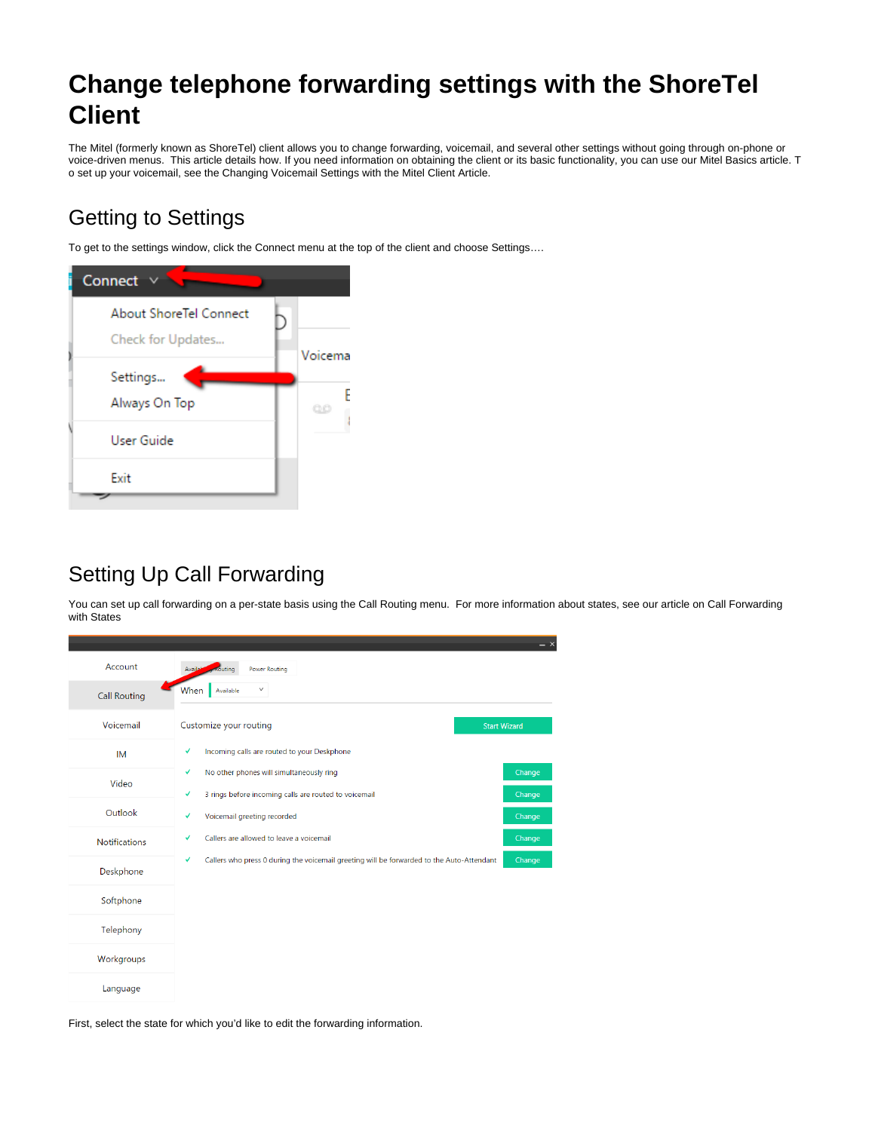# **Change telephone forwarding settings with the ShoreTel Client**

The Mitel (formerly known as ShoreTel) client allows you to change forwarding, voicemail, and several other settings without going through on-phone or voice-driven menus. This article details how. If you need information on obtaining the client or its basic functionality, you can use our Mitel Basics article. T o set up your voicemail, see the Changing Voicemail Settings with the Mitel Client Article.

# Getting to Settings

To get to the settings window, click the Connect menu at the top of the client and choose Settings….



## Setting Up Call Forwarding

You can set up call forwarding on a per-state basis using the Call Routing menu. For more information about states, see our article on Call Forwarding with States



First, select the state for which you'd like to edit the forwarding information.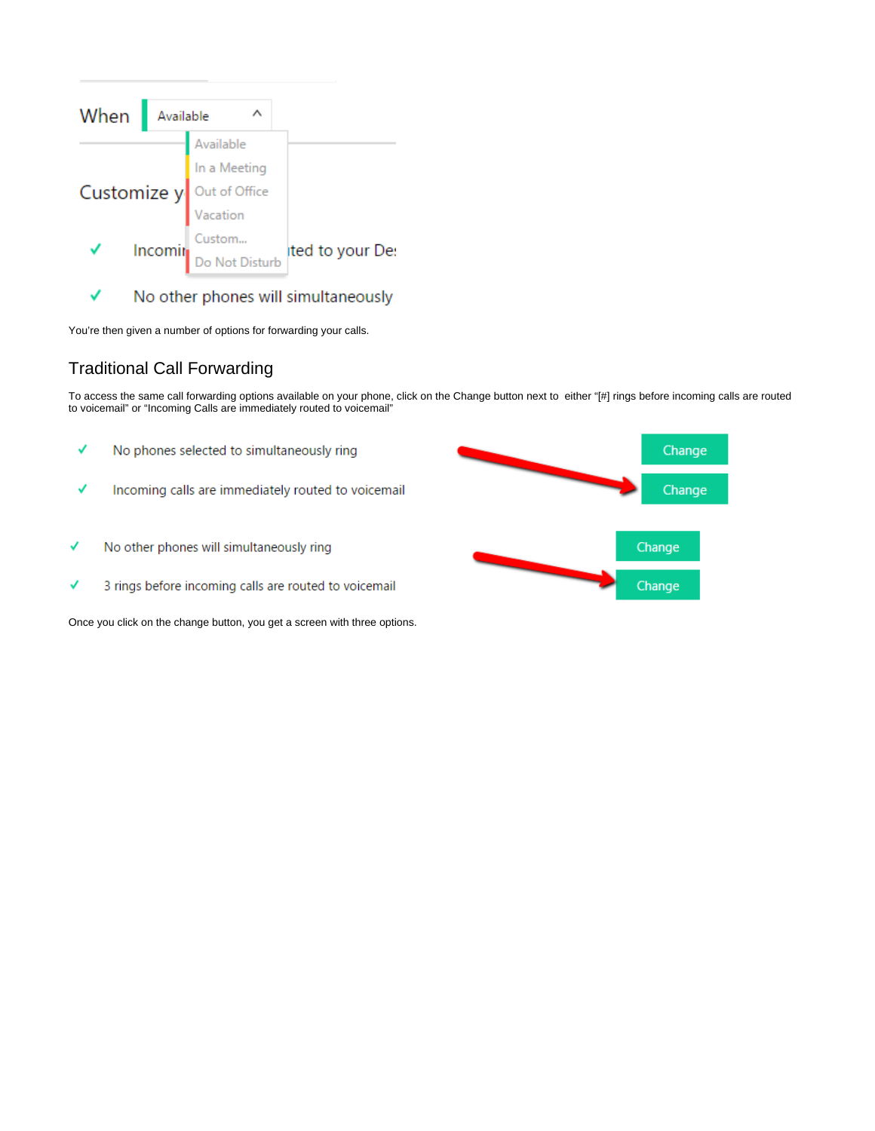

✓ No other phones will simultaneously

You're then given a number of options for forwarding your calls.

### Traditional Call Forwarding

To access the same call forwarding options available on your phone, click on the Change button next to either "[#] rings before incoming calls are routed to voicemail" or "Incoming Calls are immediately routed to voicemail"

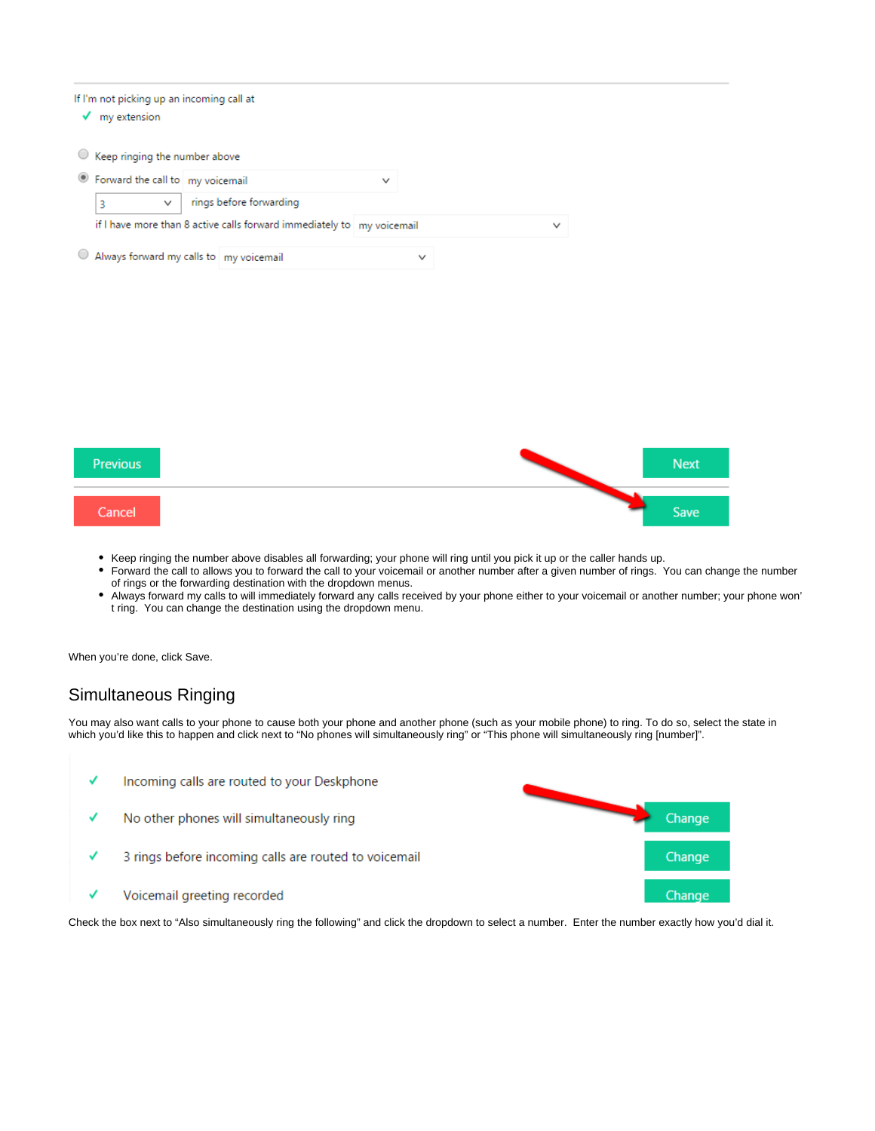| If I'm not picking up an incoming call at<br>my extension |                                                                        |              |             |              |  |  |  |  |
|-----------------------------------------------------------|------------------------------------------------------------------------|--------------|-------------|--------------|--|--|--|--|
| Keep ringing the number above                             |                                                                        |              |             |              |  |  |  |  |
| <sup>●</sup> Forward the call to my voicemail             |                                                                        | $\checkmark$ |             |              |  |  |  |  |
| $\checkmark$<br>3                                         | rings before forwarding                                                |              |             |              |  |  |  |  |
|                                                           | if I have more than 8 active calls forward immediately to my voicemail |              |             | $\checkmark$ |  |  |  |  |
| Always forward my calls to my voicemail                   |                                                                        |              | $\check{ }$ |              |  |  |  |  |

| <b>Previous</b> | <b>Next</b> |
|-----------------|-------------|
| Cancel          | Save        |

- Keep ringing the number above disables all forwarding; your phone will ring until you pick it up or the caller hands up.
- $\bullet$ Forward the call to allows you to forward the call to your voicemail or another number after a given number of rings. You can change the number of rings or the forwarding destination with the dropdown menus.
- $\bullet$ Always forward my calls to will immediately forward any calls received by your phone either to your voicemail or another number; your phone won' t ring. You can change the destination using the dropdown menu.

When you're done, click Save.

### Simultaneous Ringing

You may also want calls to your phone to cause both your phone and another phone (such as your mobile phone) to ring. To do so, select the state in which you'd like this to happen and click next to "No phones will simultaneously ring" or "This phone will simultaneously ring [number]".



Check the box next to "Also simultaneously ring the following" and click the dropdown to select a number. Enter the number exactly how you'd dial it.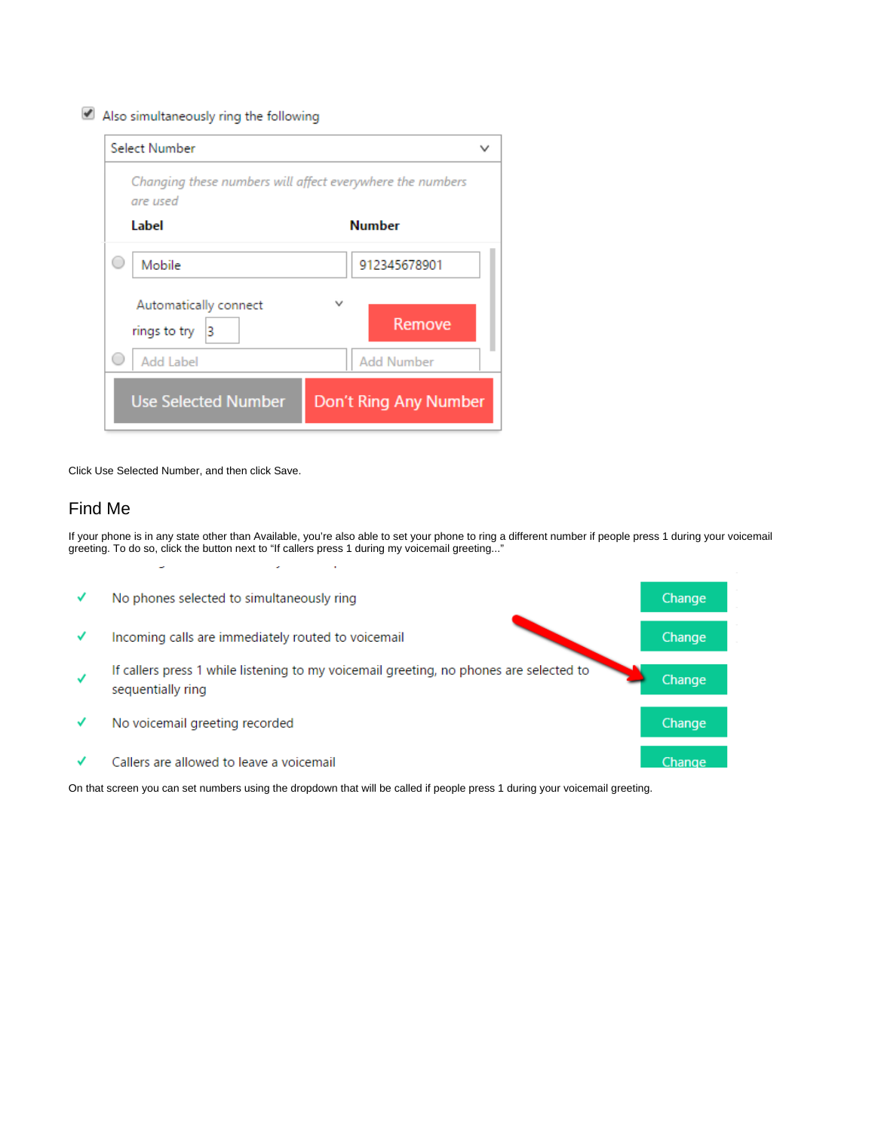#### Also simultaneously ring the following

| Select Number                                                         |                       |
|-----------------------------------------------------------------------|-----------------------|
| Changing these numbers will affect everywhere the numbers<br>are used |                       |
| Label                                                                 | <b>Number</b>         |
| Mobile                                                                | 912345678901          |
| Automatically connect<br>rings to try<br>3                            | Remove                |
| Add Label                                                             | <b>Add Number</b>     |
| <b>Use Selected Number</b>                                            | Don't Ring Any Number |

Click Use Selected Number, and then click Save.

#### Find Me

If your phone is in any state other than Available, you're also able to set your phone to ring a different number if people press 1 during your voicemail greeting. To do so, click the button next to "If callers press 1 during my voicemail greeting..."



On that screen you can set numbers using the dropdown that will be called if people press 1 during your voicemail greeting.